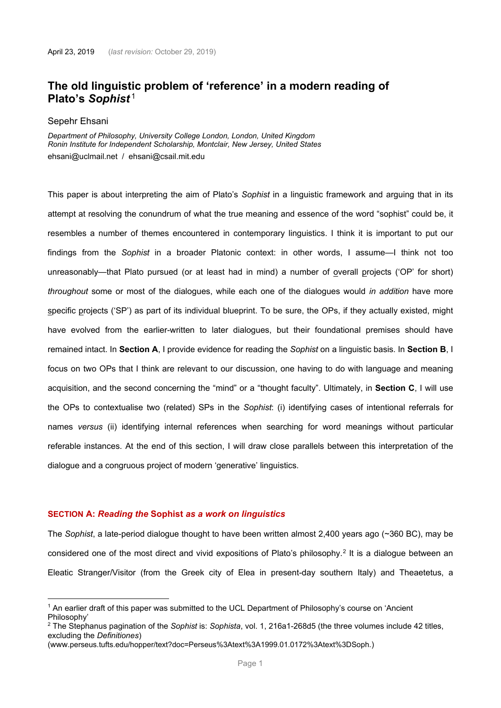# **The old linguistic problem of 'reference' in a modern reading of Plato's** *Sophist* [1](#page-0-0)

#### Sepehr Ehsani

*Department of Philosophy, University College London, London, United Kingdom Ronin Institute for Independent Scholarship, Montclair, New Jersey, United States* ehsani@uclmail.net / ehsani@csail.mit.edu

This paper is about interpreting the aim of Plato's *Sophist* in a linguistic framework and arguing that in its attempt at resolving the conundrum of what the true meaning and essence of the word "sophist" could be, it resembles a number of themes encountered in contemporary linguistics. I think it is important to put our findings from the *Sophist* in a broader Platonic context: in other words, I assume—I think not too unreasonably—that Plato pursued (or at least had in mind) a number of overall projects ('OP' for short) *throughout* some or most of the dialogues, while each one of the dialogues would *in addition* have more specific projects ('SP') as part of its individual blueprint. To be sure, the OPs, if they actually existed, might have evolved from the earlier-written to later dialogues, but their foundational premises should have remained intact. In **Section A**, I provide evidence for reading the *Sophist* on a linguistic basis. In **Section B**, I focus on two OPs that I think are relevant to our discussion, one having to do with language and meaning acquisition, and the second concerning the "mind" or a "thought faculty". Ultimately, in **Section C**, I will use the OPs to contextualise two (related) SPs in the *Sophist*: (i) identifying cases of intentional referrals for names *versus* (ii) identifying internal references when searching for word meanings without particular referable instances. At the end of this section, I will draw close parallels between this interpretation of the dialogue and a congruous project of modern 'generative' linguistics.

# **SECTION A:** *Reading the* **Sophist** *as a work on linguistics*

The *Sophist*, a late-period dialogue thought to have been written almost 2,400 years ago (~360 BC), may be considered one of the most direct and vivid expositions of Plato's philosophy.<sup>[2](#page-0-1)</sup> It is a dialogue between an Eleatic Stranger/Visitor (from the Greek city of Elea in present-day southern Italy) and Theaetetus, a

<span id="page-0-0"></span> $1$  An earlier draft of this paper was submitted to the UCL Department of Philosophy's course on 'Ancient Philosophy'

<span id="page-0-1"></span><sup>2</sup> The Stephanus pagination of the *Sophist* is: *Sophista*, vol. 1, 216a1-268d5 (the three volumes include 42 titles, excluding the *Definitiones*)

<sup>(</sup>www.perseus.tufts.edu/hopper/text?doc=Perseus%3Atext%3A1999.01.0172%3Atext%3DSoph.)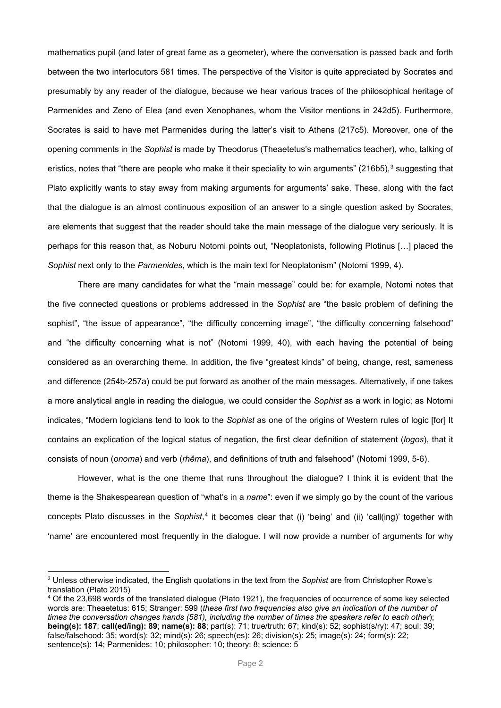mathematics pupil (and later of great fame as a geometer), where the conversation is passed back and forth between the two interlocutors 581 times. The perspective of the Visitor is quite appreciated by Socrates and presumably by any reader of the dialogue, because we hear various traces of the philosophical heritage of Parmenides and Zeno of Elea (and even Xenophanes, whom the Visitor mentions in 242d5). Furthermore, Socrates is said to have met Parmenides during the latter's visit to Athens (217c5). Moreover, one of the opening comments in the *Sophist* is made by Theodorus (Theaetetus's mathematics teacher), who, talking of eristics, notes that "there are people who make it their speciality to win arguments" (216b5), $3$  suggesting that Plato explicitly wants to stay away from making arguments for arguments' sake. These, along with the fact that the dialogue is an almost continuous exposition of an answer to a single question asked by Socrates, are elements that suggest that the reader should take the main message of the dialogue very seriously. It is perhaps for this reason that, as Noburu Notomi points out, "Neoplatonists, following Plotinus […] placed the *Sophist* next only to the *Parmenides*, which is the main text for Neoplatonism" [\(Notomi 1999, 4\)](#page-11-0).

There are many candidates for what the "main message" could be: for example, Notomi notes that the five connected questions or problems addressed in the *Sophist* are "the basic problem of defining the sophist", "the issue of appearance", "the difficulty concerning image", "the difficulty concerning falsehood" and "the difficulty concerning what is not" [\(Notomi 1999, 40\)](#page-11-0), with each having the potential of being considered as an overarching theme. In addition, the five "greatest kinds" of being, change, rest, sameness and difference (254b-257a) could be put forward as another of the main messages. Alternatively, if one takes a more analytical angle in reading the dialogue, we could consider the *Sophist* as a work in logic; as Notomi indicates, "Modern logicians tend to look to the *Sophist* as one of the origins of Western rules of logic [for] It contains an explication of the logical status of negation, the first clear definition of statement (*logos*), that it consists of noun (*onoma*) and verb (*rhêma*), and definitions of truth and falsehood" [\(Notomi 1999, 5-6\)](#page-11-0).

However, what is the one theme that runs throughout the dialogue? I think it is evident that the theme is the Shakespearean question of "what's in a *name*": even if we simply go by the count of the various concepts Plato discusses in the *Sophist*, [4](#page-1-1) it becomes clear that (i) 'being' and (ii) 'call(ing)' together with 'name' are encountered most frequently in the dialogue. I will now provide a number of arguments for why

<span id="page-1-0"></span><sup>3</sup> Unless otherwise indicated, the English quotations in the text from the *Sophist* are from Christopher Rowe's translation [\(Plato 2015\)](#page-11-1)

<span id="page-1-1"></span><sup>&</sup>lt;sup>4</sup> Of the 23,698 words of the translated dialogue [\(Plato 1921\)](#page-11-2), the frequencies of occurrence of some key selected words are: Theaetetus: 615; Stranger: 599 (*these first two frequencies also give an indication of the number of times the conversation changes hands (581), including the number of times the speakers refer to each other*); **being(s): 187**; **call(ed/ing): 89**; **name(s): 88**; part(s): 71; true/truth: 67; kind(s): 52; sophist(s/ry): 47; soul: 39; false/falsehood: 35; word(s): 32; mind(s): 26; speech(es): 26; division(s): 25; image(s): 24; form(s): 22; sentence(s): 14; Parmenides: 10; philosopher: 10; theory: 8; science: 5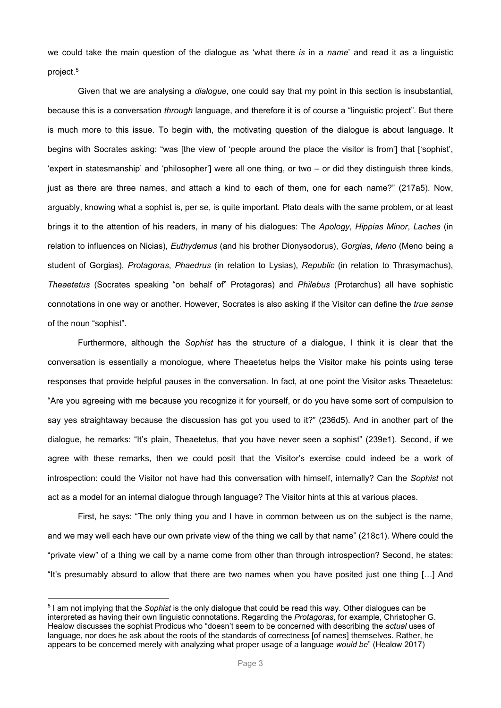we could take the main question of the dialogue as 'what there *is* in a *name*' and read it as a linguistic project.[5](#page-2-0)

Given that we are analysing a *dialogue*, one could say that my point in this section is insubstantial, because this is a conversation *through* language, and therefore it is of course a "linguistic project". But there is much more to this issue. To begin with, the motivating question of the dialogue is about language. It begins with Socrates asking: "was [the view of 'people around the place the visitor is from'] that ['sophist', 'expert in statesmanship' and 'philosopher'] were all one thing, or two – or did they distinguish three kinds, just as there are three names, and attach a kind to each of them, one for each name?" (217a5). Now, arguably, knowing what a sophist is, per se, is quite important. Plato deals with the same problem, or at least brings it to the attention of his readers, in many of his dialogues: The *Apology*, *Hippias Minor*, *Laches* (in relation to influences on Nicias), *Euthydemus* (and his brother Dionysodorus), *Gorgias*, *Meno* (Meno being a student of Gorgias), *Protagoras*, *Phaedrus* (in relation to Lysias), *Republic* (in relation to Thrasymachus), *Theaetetus* (Socrates speaking "on behalf of" Protagoras) and *Philebus* (Protarchus) all have sophistic connotations in one way or another. However, Socrates is also asking if the Visitor can define the *true sense* of the noun "sophist".

Furthermore, although the *Sophist* has the structure of a dialogue, I think it is clear that the conversation is essentially a monologue, where Theaetetus helps the Visitor make his points using terse responses that provide helpful pauses in the conversation. In fact, at one point the Visitor asks Theaetetus: "Are you agreeing with me because you recognize it for yourself, or do you have some sort of compulsion to say yes straightaway because the discussion has got you used to it?" (236d5). And in another part of the dialogue, he remarks: "It's plain, Theaetetus, that you have never seen a sophist" (239e1). Second, if we agree with these remarks, then we could posit that the Visitor's exercise could indeed be a work of introspection: could the Visitor not have had this conversation with himself, internally? Can the *Sophist* not act as a model for an internal dialogue through language? The Visitor hints at this at various places.

First, he says: "The only thing you and I have in common between us on the subject is the name, and we may well each have our own private view of the thing we call by that name" (218c1). Where could the "private view" of a thing we call by a name come from other than through introspection? Second, he states: "It's presumably absurd to allow that there are two names when you have posited just one thing […] And

<span id="page-2-0"></span><sup>5</sup> I am not implying that the *Sophist* is the only dialogue that could be read this way. Other dialogues can be interpreted as having their own linguistic connotations. Regarding the *Protagoras*, for example, Christopher G. Healow discusses the sophist Prodicus who "doesn't seem to be concerned with describing the *actual* uses of language, nor does he ask about the roots of the standards of correctness [of names] themselves. Rather, he appears to be concerned merely with analyzing what proper usage of a language *would be*" [\(Healow 2017\)](#page-11-3)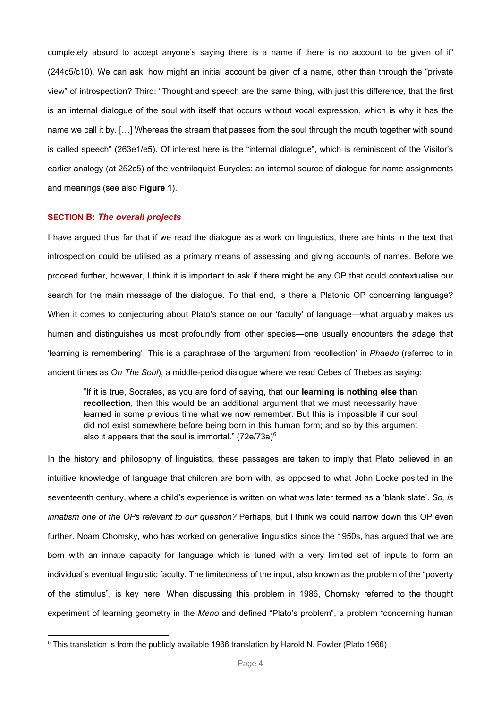completely absurd to accept anyone's saying there is a name if there is no account to be given of it" (244c5/c10). We can ask, how might an initial account be given of a name, other than through the "private view" of introspection? Third: "Thought and speech are the same thing, with just this difference, that the first is an internal dialogue of the soul with itself that occurs without vocal expression, which is why it has the name we call it by. […] Whereas the stream that passes from the soul through the mouth together with sound is called speech" (263e1/e5). Of interest here is the "internal dialogue", which is reminiscent of the Visitor's earlier analogy (at 252c5) of the ventriloquist Eurycles: an internal source of dialogue for name assignments and meanings (see also **Figure 1**).

# **SECTION B:** *The overall projects*

I have argued thus far that if we read the dialogue as a work on linguistics, there are hints in the text that introspection could be utilised as a primary means of assessing and giving accounts of names. Before we proceed further, however, I think it is important to ask if there might be any OP that could contextualise our search for the main message of the dialogue. To that end, is there a Platonic OP concerning language? When it comes to conjecturing about Plato's stance on our 'faculty' of language—what arguably makes us human and distinguishes us most profoundly from other species—one usually encounters the adage that 'learning is remembering'. This is a paraphrase of the 'argument from recollection' in *Phaedo* (referred to in ancient times as *On The Soul*), a middle-period dialogue where we read Cebes of Thebes as saying:

"If it is true, Socrates, as you are fond of saying, that **our learning is nothing else than recollection**, then this would be an additional argument that we must necessarily have learned in some previous time what we now remember. But this is impossible if our soul did not exist somewhere before being born in this human form; and so by this argument also it appears that the soul is immortal." (72e/73a)[6](#page-3-0)

In the history and philosophy of linguistics, these passages are taken to imply that Plato believed in an intuitive knowledge of language that children are born with, as opposed to what John Locke posited in the seventeenth century, where a child's experience is written on what was later termed as a 'blank slate'. *So, is innatism one of the OPs relevant to our question?* Perhaps, but I think we could narrow down this OP even further. Noam Chomsky, who has worked on generative linguistics since the 1950s, has argued that we are born with an innate capacity for language which is tuned with a very limited set of inputs to form an individual's eventual linguistic faculty. The limitedness of the input, also known as the problem of the "poverty of the stimulus", is key here. When discussing this problem in 1986, Chomsky referred to the thought experiment of learning geometry in the *Meno* and defined "Plato's problem", a problem "concerning human

<span id="page-3-0"></span> $6$  This translation is from the publicly available 1966 translation by Harold N. Fowler [\(Plato 1966\)](#page-11-4)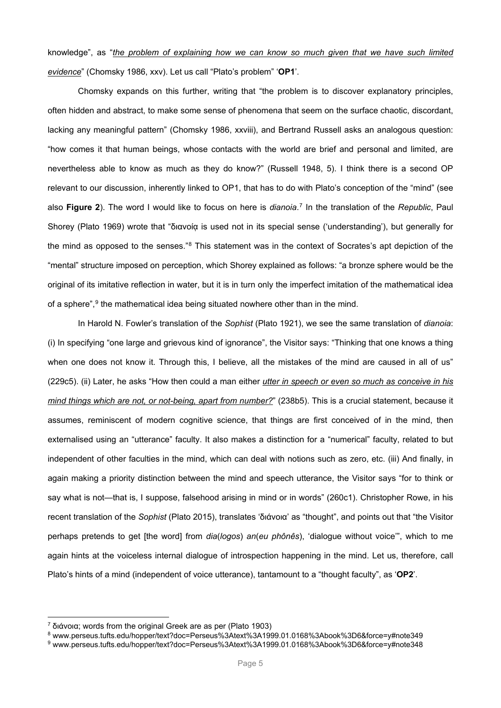knowledge", as "*the problem of explaining how we can know so much given that we have such limited evidence*" [\(Chomsky 1986, xxv\)](#page-11-5). Let us call "Plato's problem" '**OP1**'.

Chomsky expands on this further, writing that "the problem is to discover explanatory principles, often hidden and abstract, to make some sense of phenomena that seem on the surface chaotic, discordant, lacking any meaningful pattern" [\(Chomsky 1986, xxviii\)](#page-11-5), and Bertrand Russell asks an analogous question: "how comes it that human beings, whose contacts with the world are brief and personal and limited, are nevertheless able to know as much as they do know?" [\(Russell 1948, 5\)](#page-11-6). I think there is a second OP relevant to our discussion, inherently linked to OP1, that has to do with Plato's conception of the "mind" (see also **Figure 2**). The word I would like to focus on here is *dianoia*. [7](#page-4-0) In the translation of the *Republic*, Paul Shorey [\(Plato 1969\)](#page-11-7) wrote that "διανοία is used not in its special sense ('understanding'), but generally for the mind as opposed to the senses."[8](#page-4-1) This statement was in the context of Socrates's apt depiction of the "mental" structure imposed on perception, which Shorey explained as follows: "a bronze sphere would be the original of its imitative reflection in water, but it is in turn only the imperfect imitation of the mathematical idea of a sphere",<sup>[9](#page-4-2)</sup> the mathematical idea being situated nowhere other than in the mind.

In Harold N. Fowler's translation of the *Sophist* [\(Plato 1921\)](#page-11-2), we see the same translation of *dianoia*: (i) In specifying "one large and grievous kind of ignorance", the Visitor says: "Thinking that one knows a thing when one does not know it. Through this, I believe, all the mistakes of the mind are caused in all of us" (229c5). (ii) Later, he asks "How then could a man either *utter in speech or even so much as conceive in his mind things which are not, or not-being, apart from number?*" (238b5). This is a crucial statement, because it assumes, reminiscent of modern cognitive science, that things are first conceived of in the mind, then externalised using an "utterance" faculty. It also makes a distinction for a "numerical" faculty, related to but independent of other faculties in the mind, which can deal with notions such as zero, etc. (iii) And finally, in again making a priority distinction between the mind and speech utterance, the Visitor says "for to think or say what is not—that is, I suppose, falsehood arising in mind or in words" (260c1). Christopher Rowe, in his recent translation of the *Sophist* [\(Plato 2015\)](#page-11-1), translates 'διάνοια' as "thought", and points out that "the Visitor perhaps pretends to get [the word] from *dia*(*logos*) *an*(*eu phônês*), 'dialogue without voice'", which to me again hints at the voiceless internal dialogue of introspection happening in the mind. Let us, therefore, call Plato's hints of a mind (independent of voice utterance), tantamount to a "thought faculty", as '**OP2**'.

<span id="page-4-0"></span><sup>7</sup> διάνοια; words from the original Greek are as per [\(Plato 1903\)](#page-11-8)

<span id="page-4-1"></span><sup>8</sup> www.perseus.tufts.edu/hopper/text?doc=Perseus%3Atext%3A1999.01.0168%3Abook%3D6&force=y#note349

<span id="page-4-2"></span><sup>9</sup> www.perseus.tufts.edu/hopper/text?doc=Perseus%3Atext%3A1999.01.0168%3Abook%3D6&force=y#note348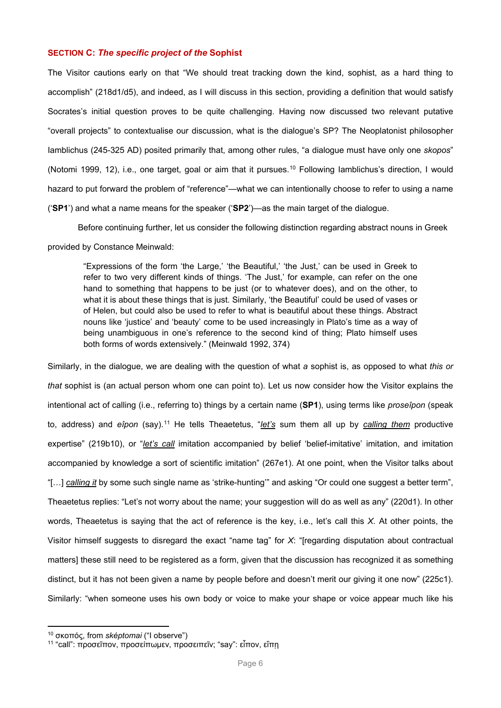# **SECTION C:** *The specific project of the* **Sophist**

The Visitor cautions early on that "We should treat tracking down the kind, sophist, as a hard thing to accomplish" (218d1/d5), and indeed, as I will discuss in this section, providing a definition that would satisfy Socrates's initial question proves to be quite challenging. Having now discussed two relevant putative "overall projects" to contextualise our discussion, what is the dialogue's SP? The Neoplatonist philosopher Iamblichus (245-325 AD) posited primarily that, among other rules, "a dialogue must have only one *skopos*" [\(Notomi 1999, 12\)](#page-11-0), i.e., one target, goal or aim that it pursues. [10](#page-5-0) Following Iamblichus's direction, I would hazard to put forward the problem of "reference"—what we can intentionally choose to refer to using a name ('**SP1**') and what a name means for the speaker ('**SP2**')—as the main target of the dialogue.

Before continuing further, let us consider the following distinction regarding abstract nouns in Greek

#### provided by Constance Meinwald:

"Expressions of the form 'the Large,' 'the Beautiful,' 'the Just,' can be used in Greek to refer to two very different kinds of things. 'The Just,' for example, can refer on the one hand to something that happens to be just (or to whatever does), and on the other, to what it is about these things that is just. Similarly, 'the Beautiful' could be used of vases or of Helen, but could also be used to refer to what is beautiful about these things. Abstract nouns like 'justice' and 'beauty' come to be used increasingly in Plato's time as a way of being unambiguous in one's reference to the second kind of thing; Plato himself uses both forms of words extensively." [\(Meinwald 1992, 374\)](#page-11-9)

Similarly, in the dialogue, we are dealing with the question of what *a* sophist is, as opposed to what *this or that* sophist is (an actual person whom one can point to). Let us now consider how the Visitor explains the intentional act of calling (i.e., referring to) things by a certain name (**SP1**), using terms like *proseîpon* (speak to, address) and *eîpon* (say). [11](#page-5-1) He tells Theaetetus, "*let's* sum them all up by *calling them* productive expertise" (219b10), or "*let's call* imitation accompanied by belief 'belief-imitative' imitation, and imitation accompanied by knowledge a sort of scientific imitation" (267e1). At one point, when the Visitor talks about "[…] *calling it* by some such single name as 'strike-hunting'" and asking "Or could one suggest a better term", Theaetetus replies: "Let's not worry about the name; your suggestion will do as well as any" (220d1). In other words, Theaetetus is saying that the act of reference is the key, i.e., let's call this *X*. At other points, the Visitor himself suggests to disregard the exact "name tag" for *X*: "[regarding disputation about contractual matters] these still need to be registered as a form, given that the discussion has recognized it as something distinct, but it has not been given a name by people before and doesn't merit our giving it one now" (225c1). Similarly: "when someone uses his own body or voice to make your shape or voice appear much like his

<span id="page-5-0"></span><sup>10</sup> σκοπός, from *sképtomai* ("I observe")

<span id="page-5-1"></span> $11$  "call": προσεΐπον, προσείπωμεν, προσειπεῖν; "say": εἶπον, εἴπη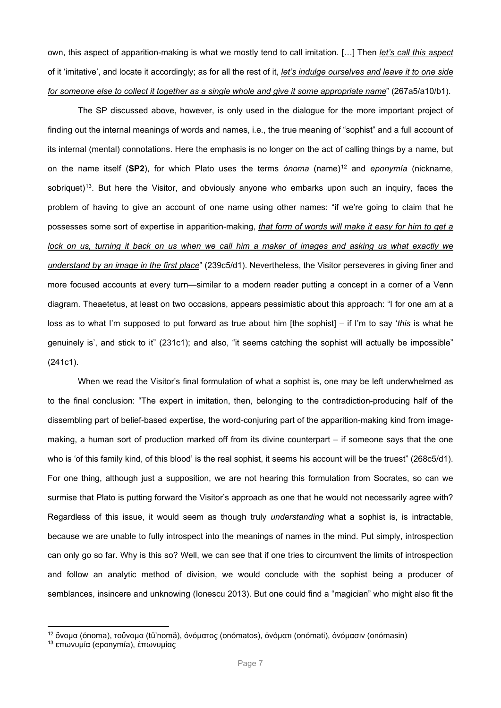own, this aspect of apparition-making is what we mostly tend to call imitation. […] Then *let's call this aspect* of it 'imitative', and locate it accordingly; as for all the rest of it, *let's indulge ourselves and leave it to one side for someone else to collect it together as a single whole and give it some appropriate name*" (267a5/a10/b1).

The SP discussed above, however, is only used in the dialogue for the more important project of finding out the internal meanings of words and names, i.e., the true meaning of "sophist" and a full account of its internal (mental) connotations. Here the emphasis is no longer on the act of calling things by a name, but on the name itself (**SP2**), for which Plato uses the terms *ónoma* (name)[12](#page-6-0) and *eponymía* (nickname, sobriquet)<sup>13</sup>. But here the Visitor, and obviously anyone who embarks upon such an inquiry, faces the problem of having to give an account of one name using other names: "if we're going to claim that he possesses some sort of expertise in apparition-making, *that form of words will make it easy for him to get a lock on us, turning it back on us when we call him a maker of images and asking us what exactly we understand by an image in the first place*" (239c5/d1). Nevertheless, the Visitor perseveres in giving finer and more focused accounts at every turn—similar to a modern reader putting a concept in a corner of a Venn diagram. Theaetetus, at least on two occasions, appears pessimistic about this approach: "I for one am at a loss as to what I'm supposed to put forward as true about him [the sophist] – if I'm to say '*this* is what he genuinely is', and stick to it" (231c1); and also, "it seems catching the sophist will actually be impossible" (241c1).

When we read the Visitor's final formulation of what a sophist is, one may be left underwhelmed as to the final conclusion: "The expert in imitation, then, belonging to the contradiction-producing half of the dissembling part of belief-based expertise, the word-conjuring part of the apparition-making kind from imagemaking, a human sort of production marked off from its divine counterpart – if someone says that the one who is 'of this family kind, of this blood' is the real sophist, it seems his account will be the truest" (268c5/d1). For one thing, although just a supposition, we are not hearing this formulation from Socrates, so can we surmise that Plato is putting forward the Visitor's approach as one that he would not necessarily agree with? Regardless of this issue, it would seem as though truly *understanding* what a sophist is, is intractable, because we are unable to fully introspect into the meanings of names in the mind. Put simply, introspection can only go so far. Why is this so? Well, we can see that if one tries to circumvent the limits of introspection and follow an analytic method of division, we would conclude with the sophist being a producer of semblances, insincere and unknowing [\(Ionescu 2013\)](#page-11-10). But one could find a "magician" who might also fit the

<span id="page-6-0"></span><sup>&</sup>lt;sup>12</sup> ὄνομα (ónoma), τοὔνομα (tü'nomä), ὀνόματος (onómatos), ὀνόματι (onómati), ὀνόμασιν (onómasin)

<span id="page-6-1"></span><sup>13</sup> επωνυμία (eponymía), ἐπωνυμίας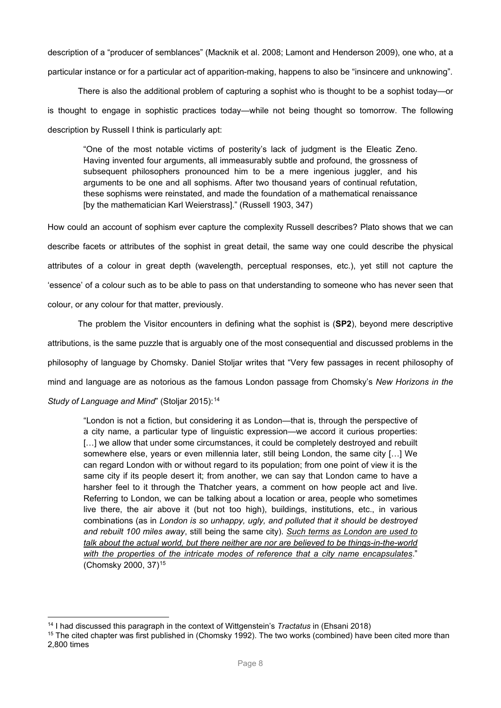description of a "producer of semblances" [\(Macknik et al. 2008;](#page-11-11) [Lamont and Henderson 2009\)](#page-11-12), one who, at a particular instance or for a particular act of apparition-making, happens to also be "insincere and unknowing".

There is also the additional problem of capturing a sophist who is thought to be a sophist today—or is thought to engage in sophistic practices today—while not being thought so tomorrow. The following description by Russell I think is particularly apt:

"One of the most notable victims of posterity's lack of judgment is the Eleatic Zeno. Having invented four arguments, all immeasurably subtle and profound, the grossness of subsequent philosophers pronounced him to be a mere ingenious juggler, and his arguments to be one and all sophisms. After two thousand years of continual refutation, these sophisms were reinstated, and made the foundation of a mathematical renaissance [by the mathematician Karl Weierstrass]." [\(Russell 1903, 347\)](#page-11-13)

How could an account of sophism ever capture the complexity Russell describes? Plato shows that we can describe facets or attributes of the sophist in great detail, the same way one could describe the physical attributes of a colour in great depth (wavelength, perceptual responses, etc.), yet still not capture the 'essence' of a colour such as to be able to pass on that understanding to someone who has never seen that colour, or any colour for that matter, previously.

The problem the Visitor encounters in defining what the sophist is (**SP2**), beyond mere descriptive attributions, is the same puzzle that is arguably one of the most consequential and discussed problems in the philosophy of language by Chomsky. Daniel Stoljar writes that "Very few passages in recent philosophy of mind and language are as notorious as the famous London passage from Chomsky's *New Horizons in the Study of Language and Mind*" [\(Stoljar 2015\)](#page-11-14): [14](#page-7-0)

"London is not a fiction, but considering it as London—that is, through the perspective of a city name, a particular type of linguistic expression—we accord it curious properties: [...] we allow that under some circumstances, it could be completely destroyed and rebuilt somewhere else, years or even millennia later, still being London, the same city […] We can regard London with or without regard to its population; from one point of view it is the same city if its people desert it; from another, we can say that London came to have a harsher feel to it through the Thatcher years, a comment on how people act and live. Referring to London, we can be talking about a location or area, people who sometimes live there, the air above it (but not too high), buildings, institutions, etc., in various combinations (as in *London is so unhappy, ugly, and polluted that it should be destroyed and rebuilt 100 miles away*, still being the same city). *Such terms as London are used to talk about the actual world, but there neither are nor are believed to be things-in-the-world with the properties of the intricate modes of reference that a city name encapsulates*." [\(Chomsky 2000, 37\)](#page-11-15)[15](#page-7-1)

<span id="page-7-0"></span><sup>14</sup> I had discussed this paragraph in the context of Wittgenstein's *Tractatus* in [\(Ehsani 2018\)](#page-11-16)

<span id="page-7-1"></span><sup>&</sup>lt;sup>15</sup> The cited chapter was first published in [\(Chomsky 1992\)](#page-11-17). The two works (combined) have been cited more than 2,800 times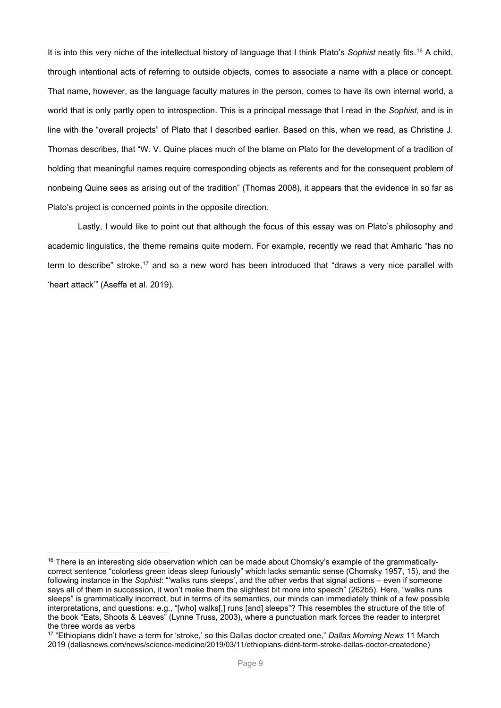It is into this very niche of the intellectual history of language that I think Plato's *Sophist* neatly fits. [16](#page-8-0) A child, through intentional acts of referring to outside objects, comes to associate a name with a place or concept. That name, however, as the language faculty matures in the person, comes to have its own internal world, a world that is only partly open to introspection. This is a principal message that I read in the *Sophist*, and is in line with the "overall projects" of Plato that I described earlier. Based on this, when we read, as Christine J. Thomas describes, that "W. V. Quine places much of the blame on Plato for the development of a tradition of holding that meaningful names require corresponding objects as referents and for the consequent problem of nonbeing Quine sees as arising out of the tradition" [\(Thomas 2008\)](#page-11-18), it appears that the evidence in so far as Plato's project is concerned points in the opposite direction.

Lastly, I would like to point out that although the focus of this essay was on Plato's philosophy and academic linguistics, the theme remains quite modern. For example, recently we read that Amharic "has no term to describe" stroke,<sup>[17](#page-8-1)</sup> and so a new word has been introduced that "draws a very nice parallel with 'heart attack'" [\(Aseffa et al. 2019\)](#page-11-19).

<span id="page-8-0"></span> $16$  There is an interesting side observation which can be made about Chomsky's example of the grammaticallycorrect sentence "colorless green ideas sleep furiously" which lacks semantic sense [\(Chomsky 1957, 15\)](#page-11-20), and the following instance in the *Sophist*: "'walks runs sleeps', and the other verbs that signal actions – even if someone says all of them in succession, it won't make them the slightest bit more into speech" (262b5). Here, "walks runs sleeps" is grammatically incorrect, but in terms of its semantics, our minds can immediately think of a few possible interpretations, and questions: e.g., "[who] walks[,] runs [and] sleeps"? This resembles the structure of the title of the book "Eats, Shoots & Leaves" (Lynne Truss, 2003), where a punctuation mark forces the reader to interpret the three words as verbs

<span id="page-8-1"></span><sup>17</sup> "Ethiopians didn't have a term for 'stroke,' so this Dallas doctor created one," *Dallas Morning News* 11 March 2019 (dallasnews.com/news/science-medicine/2019/03/11/ethiopians-didnt-term-stroke-dallas-doctor-createdone)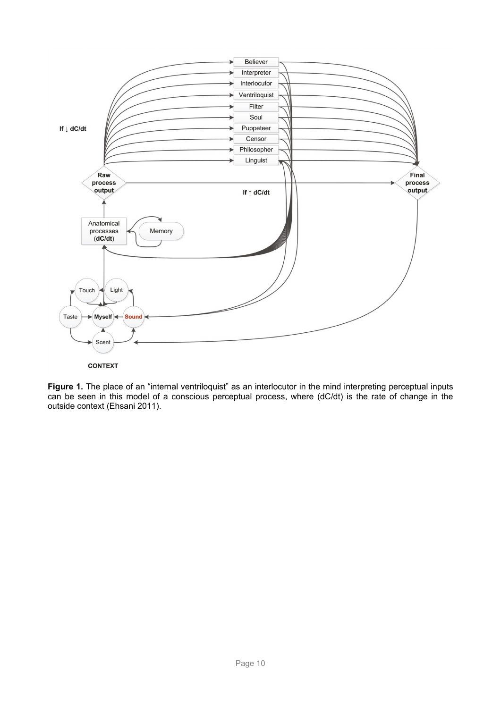



**Figure 1.** The place of an "internal ventriloquist" as an interlocutor in the mind interpreting perceptual inputs can be seen in this model of a conscious perceptual process, where (dC/dt) is the rate of change in the outside context [\(Ehsani 2011\)](#page-11-21).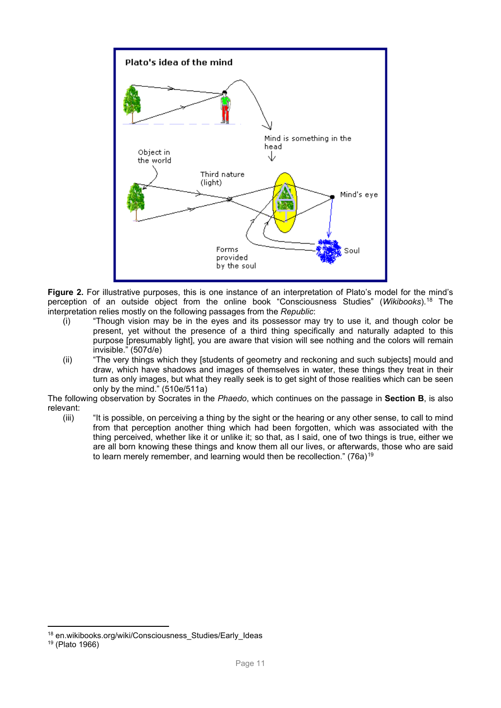

**Figure 2.** For illustrative purposes, this is one instance of an interpretation of Plato's model for the mind's perception of an outside object from the online book "Consciousness Studies" (*Wikibooks*). [18](#page-10-0) The interpretation relies mostly on the following passages from the *Republic*:

- (i) "Though vision may be in the eyes and its possessor may try to use it, and though color be present, yet without the presence of a third thing specifically and naturally adapted to this purpose [presumably light], you are aware that vision will see nothing and the colors will remain invisible." (507d/e)
- (ii) "The very things which they [students of geometry and reckoning and such subjects] mould and draw, which have shadows and images of themselves in water, these things they treat in their turn as only images, but what they really seek is to get sight of those realities which can be seen only by the mind." (510e/511a)

The following observation by Socrates in the *Phaedo*, which continues on the passage in **Section B**, is also relevant:<br>(iii)

"It is possible, on perceiving a thing by the sight or the hearing or any other sense, to call to mind from that perception another thing which had been forgotten, which was associated with the thing perceived, whether like it or unlike it; so that, as I said, one of two things is true, either we are all born knowing these things and know them all our lives, or afterwards, those who are said to learn merely remember, and learning would then be recollection." (76a)<sup>[19](#page-10-1)</sup>

<span id="page-10-0"></span><sup>&</sup>lt;sup>18</sup> en.wikibooks.org/wiki/Consciousness\_Studies/Early\_Ideas

<span id="page-10-1"></span><sup>19</sup> [\(Plato 1966\)](#page-11-4)